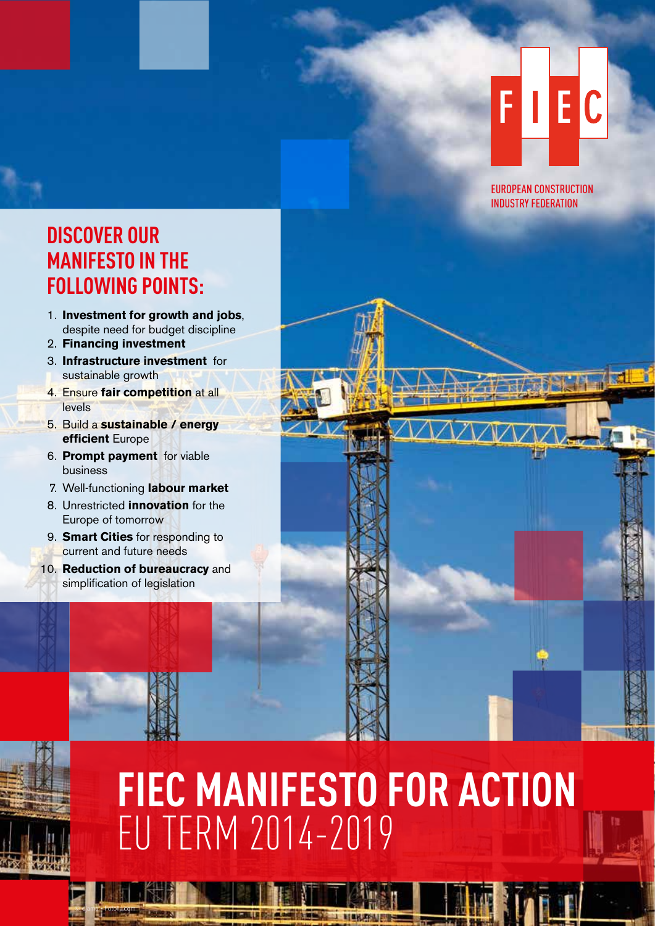### FII E C

EUROPEAN CONSTRUCTION INDUSTRY FEDERATION

### **DISCOVER OUR MANIFESTO IN THE FOLLOWING POINTS:**

- 1. **Investment for growth and jobs**, despite need for budget discipline
- 2. **Financing investment**
- 3. **Infrastructure investment** for sustainable growth
- 4. Ensure **fair competition** at all **levels**
- 5. Build a **sustainable / energy efficient** Europe
- 6. **Prompt payment** for viable business
- 7. Well-functioning **labour market**
- 8. Unrestricted **innovation** for the Europe of tomorrow
- 9. **Smart Cities** for responding to current and future needs
- 10. **Reduction of bureaucracy** and simplification of legislation

© djama - Fotolia.com

## **FIEC MANIFESTO FOR ACTION** EU TERM 2014-2019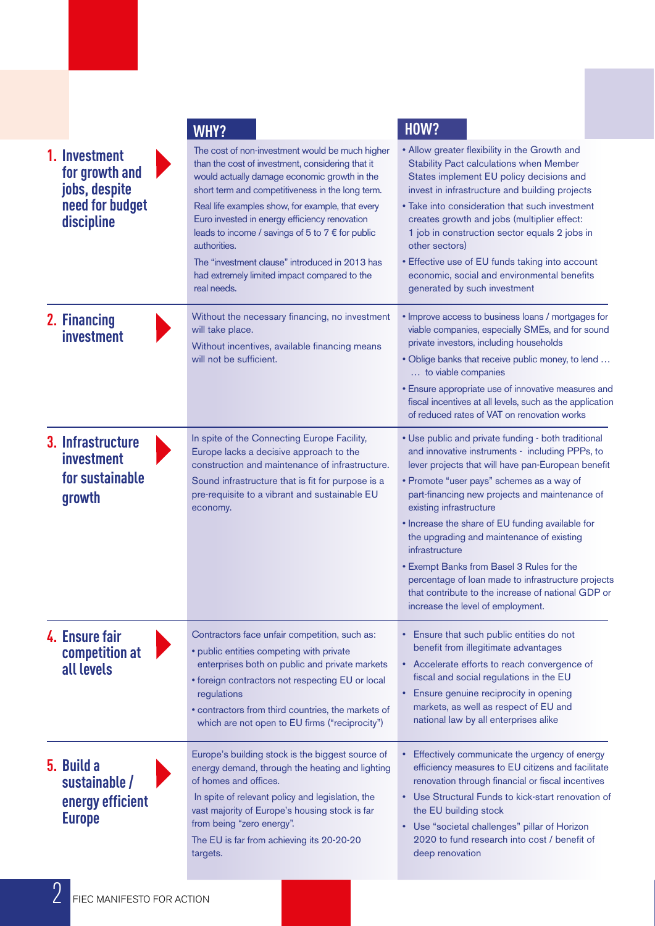|                                                                                   | <b>WHY?</b>                                                                                                                                                                                                                                                                                                                                                                                                                                                                                                | <b>HOW?</b>                                                                                                                                                                                                                                                                                                                                                                                                                                                                                                                                                                                             |
|-----------------------------------------------------------------------------------|------------------------------------------------------------------------------------------------------------------------------------------------------------------------------------------------------------------------------------------------------------------------------------------------------------------------------------------------------------------------------------------------------------------------------------------------------------------------------------------------------------|---------------------------------------------------------------------------------------------------------------------------------------------------------------------------------------------------------------------------------------------------------------------------------------------------------------------------------------------------------------------------------------------------------------------------------------------------------------------------------------------------------------------------------------------------------------------------------------------------------|
| 1. Investment<br>for growth and<br>jobs, despite<br>need for budget<br>discipline | The cost of non-investment would be much higher<br>than the cost of investment, considering that it<br>would actually damage economic growth in the<br>short term and competitiveness in the long term.<br>Real life examples show, for example, that every<br>Euro invested in energy efficiency renovation<br>leads to income / savings of 5 to 7 $\epsilon$ for public<br>authorities.<br>The "investment clause" introduced in 2013 has<br>had extremely limited impact compared to the<br>real needs. | • Allow greater flexibility in the Growth and<br>Stability Pact calculations when Member<br>States implement EU policy decisions and<br>invest in infrastructure and building projects<br>• Take into consideration that such investment<br>creates growth and jobs (multiplier effect:<br>1 job in construction sector equals 2 jobs in<br>other sectors)<br>• Effective use of EU funds taking into account<br>economic, social and environmental benefits<br>generated by such investment                                                                                                            |
| 2. Financing<br>investment                                                        | Without the necessary financing, no investment<br>will take place.<br>Without incentives, available financing means<br>will not be sufficient.                                                                                                                                                                                                                                                                                                                                                             | · Improve access to business loans / mortgages for<br>viable companies, especially SMEs, and for sound<br>private investors, including households<br>. Oblige banks that receive public money, to lend<br>to viable companies<br>• Ensure appropriate use of innovative measures and<br>fiscal incentives at all levels, such as the application<br>of reduced rates of VAT on renovation works                                                                                                                                                                                                         |
| 3. Infrastructure<br>investment<br>for sustainable<br>growth                      | In spite of the Connecting Europe Facility,<br>Europe lacks a decisive approach to the<br>construction and maintenance of infrastructure.<br>Sound infrastructure that is fit for purpose is a<br>pre-requisite to a vibrant and sustainable EU<br>economy.                                                                                                                                                                                                                                                | • Use public and private funding - both traditional<br>and innovative instruments - including PPPs, to<br>lever projects that will have pan-European benefit<br>• Promote "user pays" schemes as a way of<br>part-financing new projects and maintenance of<br>existing infrastructure<br>• Increase the share of EU funding available for<br>the upgrading and maintenance of existing<br>infrastructure<br>• Exempt Banks from Basel 3 Rules for the<br>percentage of loan made to infrastructure projects<br>that contribute to the increase of national GDP or<br>increase the level of employment. |
| 4. Ensure fair<br>competition at<br>all levels                                    | Contractors face unfair competition, such as:<br>• public entities competing with private<br>enterprises both on public and private markets<br>• foreign contractors not respecting EU or local<br>regulations<br>• contractors from third countries, the markets of<br>which are not open to EU firms ("reciprocity")                                                                                                                                                                                     | • Ensure that such public entities do not<br>benefit from illegitimate advantages<br>• Accelerate efforts to reach convergence of<br>fiscal and social regulations in the EU<br>• Ensure genuine reciprocity in opening<br>markets, as well as respect of EU and<br>national law by all enterprises alike                                                                                                                                                                                                                                                                                               |
| 5. Build a<br>sustainable /<br>energy efficient<br><b>Europe</b>                  | Europe's building stock is the biggest source of<br>energy demand, through the heating and lighting<br>of homes and offices.<br>In spite of relevant policy and legislation, the<br>vast majority of Europe's housing stock is far<br>from being "zero energy".<br>The EU is far from achieving its 20-20-20<br>targets.                                                                                                                                                                                   | • Effectively communicate the urgency of energy<br>efficiency measures to EU citizens and facilitate<br>renovation through financial or fiscal incentives<br>• Use Structural Funds to kick-start renovation of<br>the EU building stock<br>• Use "societal challenges" pillar of Horizon<br>2020 to fund research into cost / benefit of<br>deep renovation                                                                                                                                                                                                                                            |
| FIEC MANIFESTO FOR ACTION                                                         |                                                                                                                                                                                                                                                                                                                                                                                                                                                                                                            |                                                                                                                                                                                                                                                                                                                                                                                                                                                                                                                                                                                                         |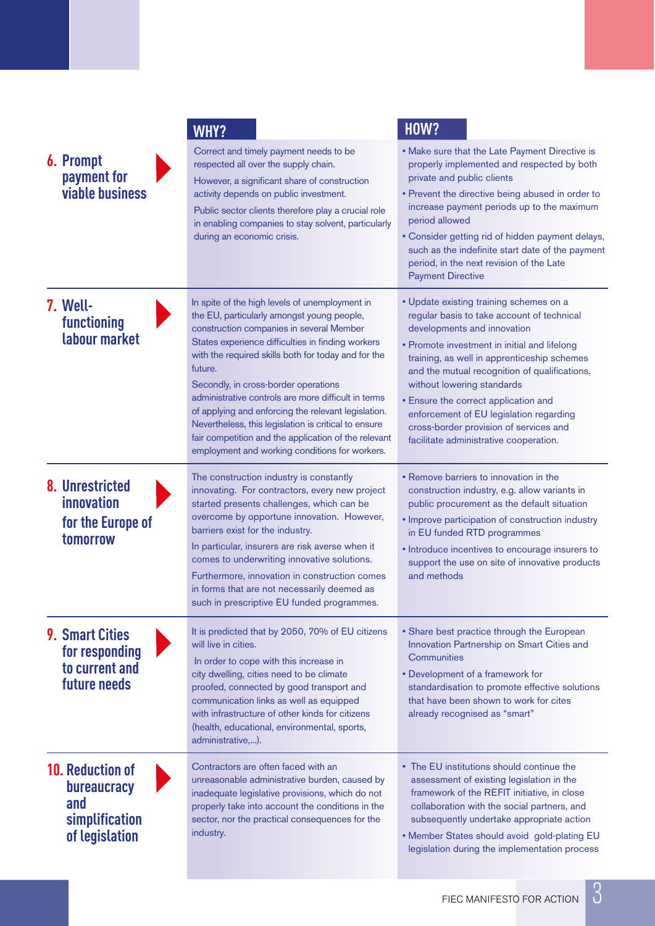|                                                                                          | <b>WHY?</b>                                                                                                                                                                                                                                                                                                                                                                                                                                                                                                                                                                             | <b>HOW?</b>                                                                                                                                                                                                                                                                                                                                                                                                                                                               |
|------------------------------------------------------------------------------------------|-----------------------------------------------------------------------------------------------------------------------------------------------------------------------------------------------------------------------------------------------------------------------------------------------------------------------------------------------------------------------------------------------------------------------------------------------------------------------------------------------------------------------------------------------------------------------------------------|---------------------------------------------------------------------------------------------------------------------------------------------------------------------------------------------------------------------------------------------------------------------------------------------------------------------------------------------------------------------------------------------------------------------------------------------------------------------------|
| <b>6. Prompt</b><br>payment for<br><b>viable business</b>                                | Correct and timely payment needs to be<br>respected all over the supply chain.<br>However, a significant share of construction<br>activity depends on public investment.<br>Public sector clients therefore play a crucial role<br>in enabling companies to stay solvent, particularly<br>during an economic crisis.                                                                                                                                                                                                                                                                    | . Make sure that the Late Payment Directive is<br>properly implemented and respected by both<br>private and public clients<br>• Prevent the directive being abused in order to<br>increase payment periods up to the maximum<br>period allowed<br>• Consider getting rid of hidden payment delays,<br>such as the indefinite start date of the payment<br>period, in the next revision of the Late<br><b>Payment Directive</b>                                            |
| 7. Well-<br>functioning<br>labour market                                                 | In spite of the high levels of unemployment in<br>the EU, particularly amongst young people,<br>construction companies in several Member<br>States experience difficulties in finding workers<br>with the required skills both for today and for the<br>future.<br>Secondly, in cross-border operations<br>administrative controls are more difficult in terms<br>of applying and enforcing the relevant legislation.<br>Nevertheless, this legislation is critical to ensure<br>fair competition and the application of the relevant<br>employment and working conditions for workers. | • Update existing training schemes on a<br>regular basis to take account of technical<br>developments and innovation<br>• Promote investment in initial and lifelong<br>training, as well in apprenticeship schemes<br>and the mutual recognition of qualifications,<br>without lowering standards<br>• Ensure the correct application and<br>enforcement of EU legislation regarding<br>cross-border provision of services and<br>facilitate administrative cooperation. |
| 8. Unrestricted<br>innovation<br>for the Europe of<br>tomorrow                           | The construction industry is constantly<br>innovating. For contractors, every new project<br>started presents challenges, which can be<br>overcome by opportune innovation. However,<br>barriers exist for the industry.<br>In particular, insurers are risk averse when it<br>comes to underwriting innovative solutions.<br>Furthermore, innovation in construction comes<br>in forms that are not necessarily deemed as<br>such in prescriptive EU funded programmes.                                                                                                                | • Remove barriers to innovation in the<br>construction industry, e.g. allow variants in<br>public procurement as the default situation<br>• Improve participation of construction industry<br>in EU funded RTD programmes<br>• Introduce incentives to encourage insurers to<br>support the use on site of innovative products<br>and methods                                                                                                                             |
| <b>9. Smart Cities</b><br>for responding<br>to current and<br>future needs               | It is predicted that by 2050, 70% of EU citizens<br>will live in cities.<br>In order to cope with this increase in<br>city dwelling, cities need to be climate<br>proofed, connected by good transport and<br>communication links as well as equipped<br>with infrastructure of other kinds for citizens<br>(health, educational, environmental, sports,<br>administrative,).                                                                                                                                                                                                           | • Share best practice through the European<br>Innovation Partnership on Smart Cities and<br>Communities<br>• Development of a framework for<br>standardisation to promote effective solutions<br>that have been shown to work for cites<br>already recognised as "smart"                                                                                                                                                                                                  |
| <b>10. Reduction of</b><br><b>bureaucracy</b><br>and<br>simplification<br>of legislation | Contractors are often faced with an<br>unreasonable administrative burden, caused by<br>inadequate legislative provisions, which do not<br>properly take into account the conditions in the<br>sector, nor the practical consequences for the<br>industry.                                                                                                                                                                                                                                                                                                                              | • The EU institutions should continue the<br>assessment of existing legislation in the<br>framework of the REFIT initiative, in close<br>collaboration with the social partners, and<br>subsequently undertake appropriate action<br>. Member States should avoid gold-plating EU<br>legislation during the implementation process                                                                                                                                        |

3